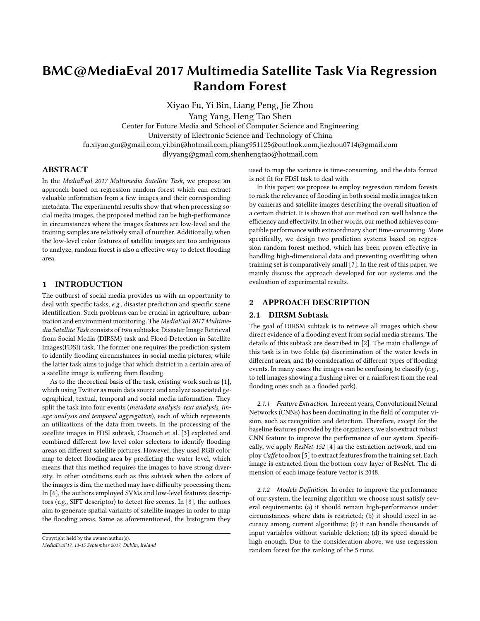# BMC@MediaEval 2017 Multimedia Satellite Task Via Regression Random Forest

Xiyao Fu, Yi Bin, Liang Peng, Jie Zhou

Yang Yang, Heng Tao Shen

Center for Future Media and School of Computer Science and Engineering University of Electronic Science and Technology of China fu.xiyao.gm@gmail.com,yi.bin@hotmail.com,pliang951125@outlook.com,jiezhou0714@gmail.com dlyyang@gmail.com,shenhengtao@hotmail.com

#### ABSTRACT

In the MediaEval 2017 Multimedia Satellite Task, we propose an approach based on regression random forest which can extract valuable information from a few images and their corresponding metadata. The experimental results show that when processing social media images, the proposed method can be high-performance in circumstances where the images features are low-level and the training samples are relatively small of number. Additionally, when the low-level color features of satellite images are too ambiguous to analyze, random forest is also a effective way to detect flooding area.

## 1 INTRODUCTION

The outburst of social media provides us with an opportunity to deal with specific tasks, e.g., disaster prediction and specific scene identification. Such problems can be crucial in agriculture, urbanization and environment monitoring. The MediaEval 2017 Multimedia Satellite Task consists of two subtasks: Disaster Image Retrieval from Social Media (DIRSM) task and Flood-Detection in Satellite Images(FDSI) task. The former one requires the prediction system to identify flooding circumstances in social media pictures, while the latter task aims to judge that which district in a certain area of a satellite image is suffering from flooding.

As to the theoretical basis of the task, existing work such as [\[1\]](#page-2-0), which using Twitter as main data source and analyze associated geographical, textual, temporal and social media information. They split the task into four events (metadata analysis, text analysis, image analysis and temporal aggregation), each of which represents an utilizations of the data from tweets. In the processing of the satellite images in FDSI subtask, Chaouch et al. [\[3](#page-2-1)] exploited and combined different low-level color selectors to identify flooding areas on different satellite pictures. However, they used RGB color map to detect flooding area by predicting the water level, which means that this method requires the images to have strong diversity. In other conditions such as this subtask when the colors of the images is dim, the method may have difficulty processing them. In [\[6\]](#page-2-2), the authors employed SVMs and low-level features descriptors (e.g., SIFT descriptor) to detect fire scenes. In  $[8]$ , the authors aim to generate spatial variants of satellite images in order to map the flooding areas. Same as aforementioned, the histogram they

used to map the variance is time-consuming, and the data format is not fit for FDSI task to deal with.

In this paper, we propose to employ regression random forests to rank the relevance of flooding in both social media images taken by cameras and satellite images describing the overall situation of a certain district. It is shown that our method can well balance the efficiency and effectivity. In other words, our method achieves compatible performance with extraordinary short time-consuming. More specifically, we design two prediction systems based on regression random forest method, which has been proven effective in handling high-dimensional data and preventing overfitting when training set is comparatively small [\[7\]](#page-2-4). In the rest of this paper, we mainly discuss the approach developed for our systems and the evaluation of experimental results.

## 2 APPROACH DESCRIPTION

## 2.1 DIRSM Subtask

The goal of DIRSM subtask is to retrieve all images which show direct evidence of a flooding event from social media streams. The details of this subtask are described in [\[2](#page-2-5)]. The main challenge of this task is in two folds: (a) discrimination of the water levels in different areas, and (b) consideration of different types of flooding events. In many cases the images can be confusing to classify (e.g., to tell images showing a flushing river or a rainforest from the real flooding ones such as a flooded park).

2.1.1 Feature Extraction. In recent years, Convolutional Neural Networks (CNNs) has been dominating in the field of computer vision, such as recognition and detection. Therefore, except for the baseline features provided by the organizers, we also extract robust CNN feature to improve the performance of our system. Specifically, we apply ResNet-152 [\[4\]](#page-2-6) as the extraction network, and employ *Caffe* toolbox [\[5](#page-2-7)] to extract features from the training set. Each image is extracted from the bottom conv layer of ResNet. The dimension of each image feature vector is 2048.

2.1.2 Models Definition. In order to improve the performance of our system, the learning algorithm we choose must satisfy several requirements: (a) it should remain high-performance under circumstances where data is restricted; (b) it should excel in accuracy among current algorithms; (c) it can handle thousands of input variables without variable deletion; (d) its speed should be high enough. Due to the consideration above, we use regression random forest for the ranking of the 5 runs.

Copyright held by the owner/author(s). MediaEval'17, 13-15 September 2017, Dublin, Ireland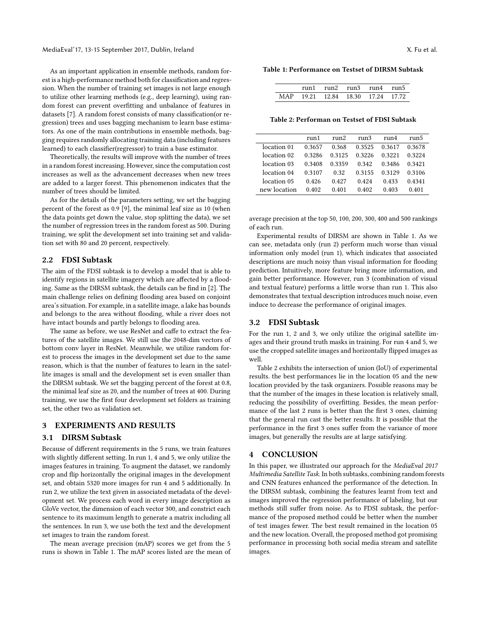As an important application in ensemble methods, random forest is a high-performance method both for classification and regression. When the number of training set images is not large enough to utilize other learning methods (e.g., deep learning), using random forest can prevent overfitting and unbalance of features in datasets [\[7\]](#page-2-4). A random forest consists of many classification (or regression) trees and uses bagging mechanism to learn base estimators. As one of the main contributions in ensemble methods, bagging requires randomly allocating training data (including features learned) to each classifier(regressor) to train a base estimator.

Theoretically, the results will improve with the number of trees in a random forest increasing. However, since the computation cost increases as well as the advancement decreases when new trees are added to a larger forest. This phenomenon indicates that the number of trees should be limited.

As for the details of the parameters setting, we set the bagging percent of the forest as 0.9 [\[9](#page-2-8)], the minimal leaf size as 10 (when the data points get down the value, stop splitting the data), we set the number of regression trees in the random forest as 500. During training, we split the development set into training set and validation set with 80 and 20 percent, respectively.

#### 2.2 FDSI Subtask

The aim of the FDSI subtask is to develop a model that is able to identify regions in satellite imagery which are affected by a flood-ing. Same as the DIRSM subtask, the details can be find in [\[2\]](#page-2-5). The main challenge relies on defining flooding area based on conjoint area's situation. For example, in a satellite image, a lake has bounds and belongs to the area without flooding, while a river does not have intact bounds and partly belongs to flooding area.

The same as before, we use ResNet and caffe to extract the features of the satellite images. We still use the 2048-dim vectors of bottom conv layer in ResNet. Meanwhile, we utilize random forest to process the images in the development set due to the same reason, which is that the number of features to learn in the satellite images is small and the development set is even smaller than the DIRSM subtask. We set the bagging percent of the forest at 0.8, the minimal leaf size as 20, and the number of trees at 400. During training, we use the first four development set folders as training set, the other two as validation set.

#### 3 EXPERIMENTS AND RESULTS

#### 3.1 DIRSM Subtask

Because of different requirements in the 5 runs, we train features with slightly different setting. In run 1, 4 and 5, we only utilize the images features in training. To augment the dataset, we randomly crop and flip horizontally the original images in the development set, and obtain 5320 more images for run 4 and 5 additionally. In run 2, we utilize the text given in associated metadata of the development set. We process each word in every image description as GloVe vector, the dimension of each vector 300, and constrict each sentence to its maximum length to generate a matrix including all the sentences. In run 3, we use both the text and the development set images to train the random forest.

The mean average precision (mAP) scores we get from the 5 runs is shown in Table 1. The mAP scores listed are the mean of

#### <span id="page-1-0"></span>Table 1: Performance on Testset of DIRSM Subtask

|  |  | $run1$ $run2$ $run3$ $run4$ $run5$ |  |
|--|--|------------------------------------|--|
|  |  | MAP 19.21 12.84 18.30 17.24 17.72  |  |

<span id="page-1-1"></span>Table 2: Performan on Testset of FDSI Subtask

|              | run1   | run <sub>2</sub> | run3   | run4   | run5   |
|--------------|--------|------------------|--------|--------|--------|
| location 01  | 0.3657 | 0.368            | 0.3525 | 0.3617 | 0.3678 |
| location 02  | 0.3286 | 0.3125           | 0.3226 | 0.3221 | 0.3224 |
| location 03  | 0.3408 | 0.3359           | 0.342  | 0.3486 | 0.3421 |
| location 04  | 0.3107 | 0.32             | 0.3155 | 0.3129 | 0.3106 |
| location 05  | 0.426  | 0.427            | 0.424  | 0.433  | 0.4341 |
| new location | 0.402  | 0.401            | 0.402  | 0.403  | 0.401  |

average precision at the top 50, 100, 200, 300, 400 and 500 rankings of each run.

Experimental results of DIRSM are shown in Table [1.](#page-1-0) As we can see, metadata only (run 2) perform much worse than visual information only model (run 1), which indicates that associated descriptions are much noisy than visual information for flooding prediction. Intuitively, more feature bring more information, and gain better performance. However, run 3 (combination of visual and textual feature) performs a little worse than run 1. This also demonstrates that textual description introduces much noise, even induce to decrease the performance of original images.

#### 3.2 FDSI Subtask

For the run 1, 2 and 3, we only utilize the original satellite images and their ground truth masks in training. For run 4 and 5, we use the cropped satellite images and horizontally flipped images as well.

Table [2](#page-1-1) exhibits the intersection of union (IoU) of experimental results. the best performances lie in the location 05 and the new location provided by the task organizers. Possible reasons may be that the number of the images in these location is relatively small, reducing the possibility of overfitting. Besides, the mean performance of the last 2 runs is better than the first 3 ones, claiming that the general run cast the better results. It is possible that the performance in the first 3 ones suffer from the variance of more images, but generally the results are at large satisfying.

#### 4 CONCLUSION

In this paper, we illustrated our approach for the MediaEval 2017 Multimedia Satellite Task. In both subtasks, combining random forests and CNN features enhanced the performance of the detection. In the DIRSM subtask, combining the features learnt from text and images improved the regression performance of labeling, but our methods still suffer from noise. As to FDSI subtask, the performance of the proposed method could be better when the number of test images fewer. The best result remained in the location 05 and the new location. Overall, the proposed method got promising performance in processing both social media stream and satellite images.